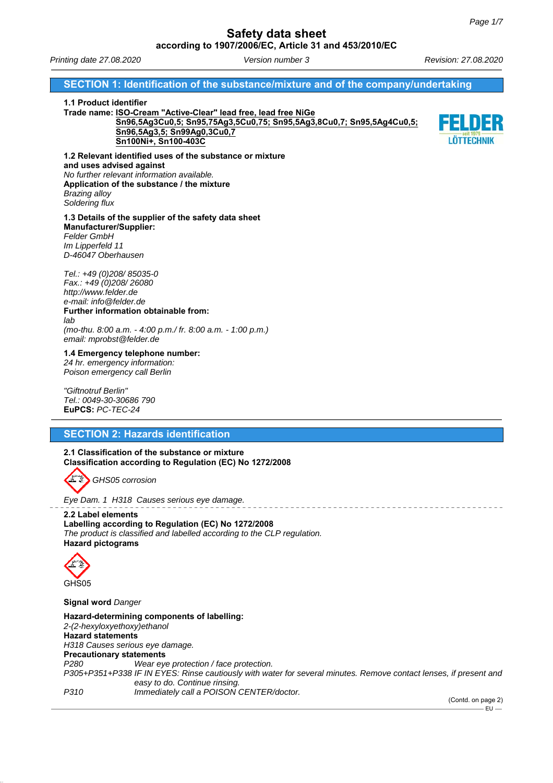*Printing date 27.08.2020 Version number 3 Revision: 27.08.2020*

### **SECTION 1: Identification of the substance/mixture and of the company/undertaking**

#### **1.1 Product identifier**

**Trade name: ISO-Cream "Active-Clear" lead free, lead free NiGe Sn96,5Ag3Cu0,5; Sn95,75Ag3,5Cu0,75; Sn95,5Ag3,8Cu0,7; Sn95,5Ag4Cu0,5; Sn96,5Ag3,5; Sn99Ag0,3Cu0,7 Sn100Ni+, Sn100-403C**



**1.2 Relevant identified uses of the substance or mixture and uses advised against** *No further relevant information available.* **Application of the substance / the mixture** *Brazing alloy Soldering flux*

### **1.3 Details of the supplier of the safety data sheet Manufacturer/Supplier:** *Felder GmbH Im Lipperfeld 11*

*D-46047 Oberhausen Tel.: +49 (0)208/ 85035-0 Fax.: +49 (0)208/ 26080*

*http://www.felder.de e-mail: info@felder.de* **Further information obtainable from:** *lab (mo-thu. 8:00 a.m. - 4:00 p.m./ fr. 8:00 a.m. - 1:00 p.m.) email: mprobst@felder.de*

**1.4 Emergency telephone number:**

*24 hr. emergency information: Poison emergency call Berlin*

*"Giftnotruf Berlin" Tel.: 0049-30-30686 790* **EuPCS:** *PC-TEC-24*

# **SECTION 2: Hazards identification**

**2.1 Classification of the substance or mixture Classification according to Regulation (EC) No 1272/2008**



*Eye Dam. 1 H318 Causes serious eye damage.*

**2.2 Label elements Labelling according to Regulation (EC) No 1272/2008** *The product is classified and labelled according to the CLP regulation.* **Hazard pictograms**



**Signal word** *Danger*

**Hazard-determining components of labelling:** *2-(2-hexyloxyethoxy)ethanol* **Hazard statements** *H318 Causes serious eye damage.* **Precautionary statements** *P280 Wear eye protection / face protection. P305+P351+P338 IF IN EYES: Rinse cautiously with water for several minutes. Remove contact lenses, if present and easy to do. Continue rinsing. P310 Immediately call a POISON CENTER/doctor.*

(Contd. on page 2)  $-$ FU $-$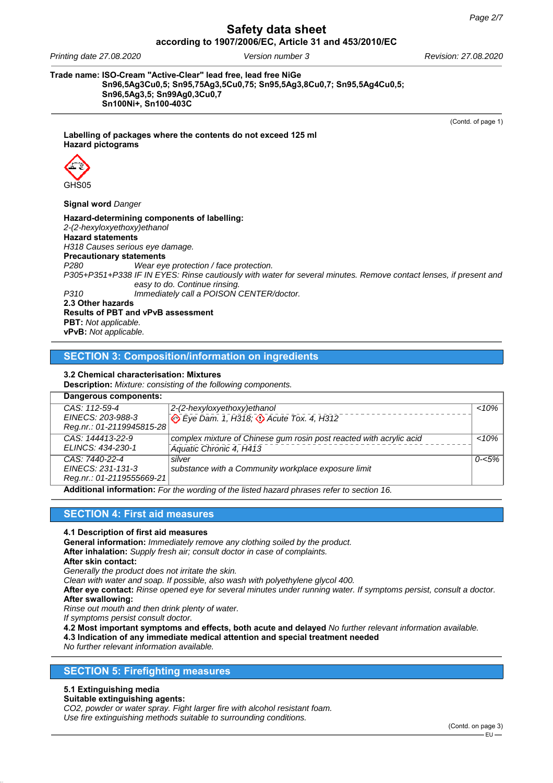*Printing date 27.08.2020 Version number 3 Revision: 27.08.2020*

**Trade name: ISO-Cream "Active-Clear" lead free, lead free NiGe Sn96,5Ag3Cu0,5; Sn95,75Ag3,5Cu0,75; Sn95,5Ag3,8Cu0,7; Sn95,5Ag4Cu0,5; Sn96,5Ag3,5; Sn99Ag0,3Cu0,7 Sn100Ni+, Sn100-403C**

(Contd. of page 1)

**Labelling of packages where the contents do not exceed 125 ml Hazard pictograms**



**Signal word** *Danger*

**Hazard-determining components of labelling:** *2-(2-hexyloxyethoxy)ethanol* **Hazard statements** *H318 Causes serious eye damage.* **Precautionary statements** *P280 Wear eye protection / face protection. P305+P351+P338 IF IN EYES: Rinse cautiously with water for several minutes. Remove contact lenses, if present and easy to do. Continue rinsing. P310 Immediately call a POISON CENTER/doctor.* **2.3 Other hazards Results of PBT and vPvB assessment PBT:** *Not applicable.*

**vPvB:** *Not applicable.*

**SECTION 3: Composition/information on ingredients**

### **3.2 Chemical characterisation: Mixtures**

**Description:** *Mixture: consisting of the following components.*

| Dangerous components:                |                                                                                |           |
|--------------------------------------|--------------------------------------------------------------------------------|-----------|
| $CAS: 112-59-4$<br>EINECS: 203-988-3 | 2-(2-hexyloxyethoxy)ethanol<br>Eye Dam. 1, H318; $\Diamond$ Acute Tox. 4, H312 | $10\%$    |
| Reg.nr.: 01-2119945815-28            |                                                                                |           |
| CAS: 144413-22-9                     | complex mixture of Chinese gum rosin post reacted with acrylic acid            | $10\%$    |
| ELINCS: 434-230-1                    | Aquatic Chronic 4, H413                                                        |           |
| CAS: 7440-22-4                       | silver                                                                         | $0 - 5\%$ |
| EINECS: 231-131-3                    | substance with a Community workplace exposure limit                            |           |
| Reg.nr.: 01-2119555669-21            |                                                                                |           |

**Additional information:** *For the wording of the listed hazard phrases refer to section 16.*

# **SECTION 4: First aid measures**

**4.1 Description of first aid measures**

**General information:** *Immediately remove any clothing soiled by the product.*

**After inhalation:** *Supply fresh air; consult doctor in case of complaints.*

**After skin contact:**

*Generally the product does not irritate the skin.*

*Clean with water and soap. If possible, also wash with polyethylene glycol 400.*

**After eye contact:** *Rinse opened eye for several minutes under running water. If symptoms persist, consult a doctor.* **After swallowing:**

*Rinse out mouth and then drink plenty of water.*

*If symptoms persist consult doctor.*

**4.2 Most important symptoms and effects, both acute and delayed** *No further relevant information available.*

**4.3 Indication of any immediate medical attention and special treatment needed**

*No further relevant information available.*

## **SECTION 5: Firefighting measures**

### **5.1 Extinguishing media**

#### **Suitable extinguishing agents:**

*CO2, powder or water spray. Fight larger fire with alcohol resistant foam. Use fire extinguishing methods suitable to surrounding conditions.*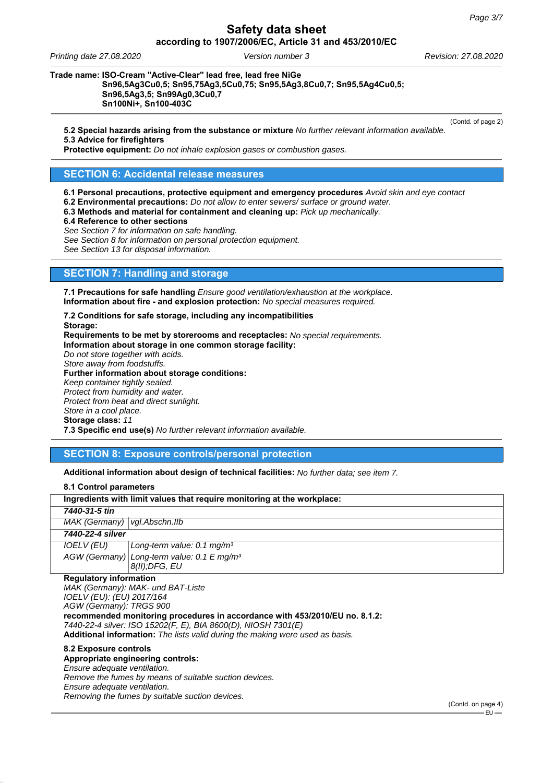*Printing date 27.08.2020 Version number 3 Revision: 27.08.2020*

**Trade name: ISO-Cream "Active-Clear" lead free, lead free NiGe**

### **Sn96,5Ag3Cu0,5; Sn95,75Ag3,5Cu0,75; Sn95,5Ag3,8Cu0,7; Sn95,5Ag4Cu0,5; Sn96,5Ag3,5; Sn99Ag0,3Cu0,7 Sn100Ni+, Sn100-403C**

(Contd. of page 2)

**5.2 Special hazards arising from the substance or mixture** *No further relevant information available.* **5.3 Advice for firefighters**

**Protective equipment:** *Do not inhale explosion gases or combustion gases.*

## **SECTION 6: Accidental release measures**

**6.1 Personal precautions, protective equipment and emergency procedures** *Avoid skin and eye contact*

**6.2 Environmental precautions:** *Do not allow to enter sewers/ surface or ground water.*

**6.3 Methods and material for containment and cleaning up:** *Pick up mechanically.*

**6.4 Reference to other sections**

*See Section 7 for information on safe handling.*

*See Section 8 for information on personal protection equipment.*

*See Section 13 for disposal information.*

# **SECTION 7: Handling and storage**

**7.1 Precautions for safe handling** *Ensure good ventilation/exhaustion at the workplace.* **Information about fire - and explosion protection:** *No special measures required.*

**7.2 Conditions for safe storage, including any incompatibilities Storage:**

**Requirements to be met by storerooms and receptacles:** *No special requirements.* **Information about storage in one common storage facility:** *Do not store together with acids.*

*Store away from foodstuffs.*

**Further information about storage conditions:** *Keep container tightly sealed. Protect from humidity and water.*

*Protect from heat and direct sunlight.*

*Store in a cool place.*

**Storage class:** *11*

**7.3 Specific end use(s)** *No further relevant information available.*

## **SECTION 8: Exposure controls/personal protection**

**Additional information about design of technical facilities:** *No further data; see item 7.*

| 8.1 Control parameters                                                  |                                                        |  |
|-------------------------------------------------------------------------|--------------------------------------------------------|--|
| Ingredients with limit values that require monitoring at the workplace: |                                                        |  |
| 7440-31-5 tin                                                           |                                                        |  |
| MAK (Germany)   vgl. Abschn. IIb                                        |                                                        |  |
| 7440-22-4 silver                                                        |                                                        |  |
| <i>IOELV (EU)</i>                                                       | Long-term value: 0.1 mg/m <sup>3</sup>                 |  |
|                                                                         | AGW (Germany) Long-term value: 0.1 E mg/m <sup>3</sup> |  |
|                                                                         | $8(II);$ DFG, EU                                       |  |
| <b>Regulatory information</b>                                           |                                                        |  |

*MAK (Germany): MAK- und BAT-Liste IOELV (EU): (EU) 2017/164 AGW (Germany): TRGS 900* **recommended monitoring procedures in accordance with 453/2010/EU no. 8.1.2:** *7440-22-4 silver: ISO 15202(F, E), BIA 8600(D), NIOSH 7301(E)* **Additional information:** *The lists valid during the making were used as basis.*

#### **8.2 Exposure controls**

## **Appropriate engineering controls:**

*Ensure adequate ventilation. Remove the fumes by means of suitable suction devices.*

*Ensure adequate ventilation.*

*Removing the fumes by suitable suction devices.*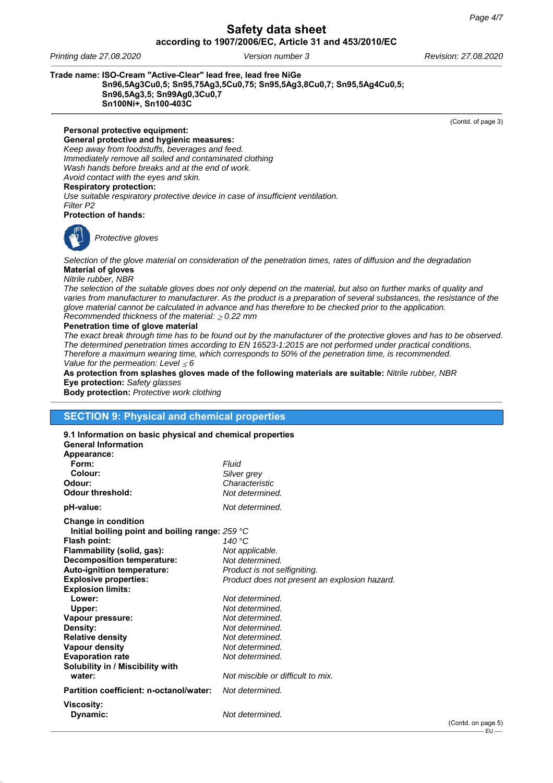*Printing date 27.08.2020 Version number 3 Revision: 27.08.2020*

### **Trade name: ISO-Cream "Active-Clear" lead free, lead free NiGe**

**Sn96,5Ag3Cu0,5; Sn95,75Ag3,5Cu0,75; Sn95,5Ag3,8Cu0,7; Sn95,5Ag4Cu0,5; Sn96,5Ag3,5; Sn99Ag0,3Cu0,7 Sn100Ni+, Sn100-403C**

(Contd. of page 3)

**Personal protective equipment: General protective and hygienic measures:** *Keep away from foodstuffs, beverages and feed. Immediately remove all soiled and contaminated clothing Wash hands before breaks and at the end of work. Avoid contact with the eyes and skin.* **Respiratory protection:** *Use suitable respiratory protective device in case of insufficient ventilation.*

*Filter P2* **Protection of hands:**



*Protective gloves*

*Selection of the glove material on consideration of the penetration times, rates of diffusion and the degradation* **Material of gloves**

#### *Nitrile rubber, NBR*

*The selection of the suitable gloves does not only depend on the material, but also on further marks of quality and varies from manufacturer to manufacturer. As the product is a preparation of several substances, the resistance of the glove material cannot be calculated in advance and has therefore to be checked prior to the application. Recommended thickness of the material: 0.22 mm*

#### **Penetration time of glove material**

*The exact break through time has to be found out by the manufacturer of the protective gloves and has to be observed. The determined penetration times according to EN 16523-1:2015 are not performed under practical conditions. Therefore a maximum wearing time, which corresponds to 50% of the penetration time, is recommended. Value for the permeation: Level 6*

**As protection from splashes gloves made of the following materials are suitable:** *Nitrile rubber, NBR* **Eye protection:** *Safety glasses*

**Body protection:** *Protective work clothing*

# **SECTION 9: Physical and chemical properties**

| 9.1 Information on basic physical and chemical properties<br><b>General Information</b> |                                               |
|-----------------------------------------------------------------------------------------|-----------------------------------------------|
| Appearance:                                                                             |                                               |
| Form:                                                                                   | Fluid                                         |
| Colour:                                                                                 | Silver grey                                   |
| Odour:                                                                                  | Characteristic                                |
| Odour threshold:                                                                        | Not determined.                               |
| pH-value:                                                                               | Not determined.                               |
| <b>Change in condition</b>                                                              |                                               |
| Initial boiling point and boiling range: 259 °C                                         |                                               |
| Flash point:                                                                            | 140 $^{\circ}$ C                              |
| Flammability (solid, gas):                                                              | Not applicable.                               |
| <b>Decomposition temperature:</b>                                                       | Not determined.                               |
| Auto-ignition temperature:                                                              | Product is not selfigniting.                  |
| <b>Explosive properties:</b>                                                            | Product does not present an explosion hazard. |
| <b>Explosion limits:</b>                                                                |                                               |
| Lower:                                                                                  | Not determined.                               |
| Upper:                                                                                  | Not determined.                               |
| Vapour pressure:                                                                        | Not determined.                               |
| Density:                                                                                | Not determined.                               |
| <b>Relative density</b>                                                                 | Not determined.                               |
| <b>Vapour density</b>                                                                   | Not determined.                               |
| <b>Evaporation rate</b>                                                                 | Not determined.                               |
| Solubility in / Miscibility with                                                        |                                               |
| water:                                                                                  | Not miscible or difficult to mix.             |
| Partition coefficient: n-octanol/water:                                                 | Not determined.                               |
| Viscosity:                                                                              |                                               |
| Dynamic:                                                                                | Not determined.                               |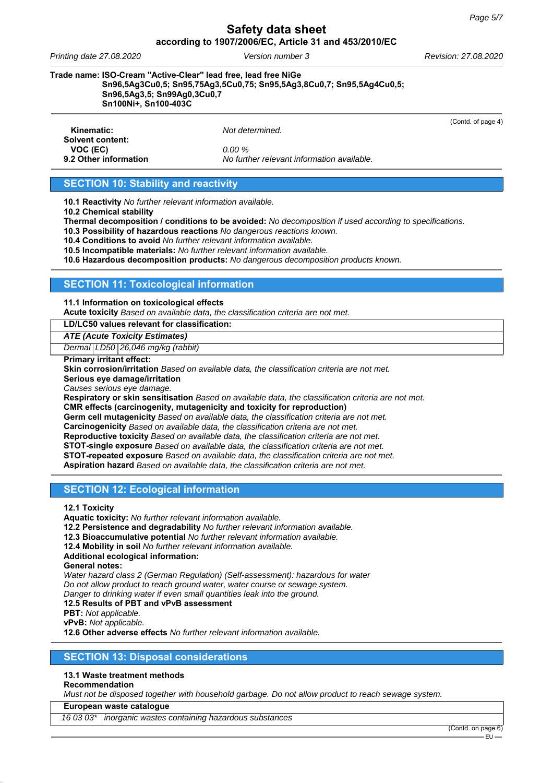*Printing date 27.08.2020 Version number 3 Revision: 27.08.2020*

**Trade name: ISO-Cream "Active-Clear" lead free, lead free NiGe**

**Sn96,5Ag3Cu0,5; Sn95,75Ag3,5Cu0,75; Sn95,5Ag3,8Cu0,7; Sn95,5Ag4Cu0,5; Sn96,5Ag3,5; Sn99Ag0,3Cu0,7**

**Sn100Ni+, Sn100-403C**

(Contd. of page 4)

**Kinematic:** *Not determined.* **Solvent content: VOC (EC)** *0.00 %*

**9.2 Other information** *No further relevant information available.*

# **SECTION 10: Stability and reactivity**

**10.1 Reactivity** *No further relevant information available.*

**10.2 Chemical stability**

**Thermal decomposition / conditions to be avoided:** *No decomposition if used according to specifications.*

**10.3 Possibility of hazardous reactions** *No dangerous reactions known.*

**10.4 Conditions to avoid** *No further relevant information available.*

**10.5 Incompatible materials:** *No further relevant information available.*

**10.6 Hazardous decomposition products:** *No dangerous decomposition products known.*

## **SECTION 11: Toxicological information**

### **11.1 Information on toxicological effects**

**Acute toxicity** *Based on available data, the classification criteria are not met.*

**LD/LC50 values relevant for classification:**

*ATE (Acute Toxicity Estimates)*

*Dermal LD50 26,046 mg/kg (rabbit)*

#### **Primary irritant effect:**

**Skin corrosion/irritation** *Based on available data, the classification criteria are not met.*

**Serious eye damage/irritation**

*Causes serious eye damage.*

**Respiratory or skin sensitisation** *Based on available data, the classification criteria are not met.* **CMR effects (carcinogenity, mutagenicity and toxicity for reproduction)**

**Germ cell mutagenicity** *Based on available data, the classification criteria are not met.*

**Carcinogenicity** *Based on available data, the classification criteria are not met.*

**Reproductive toxicity** *Based on available data, the classification criteria are not met.*

**STOT-single exposure** *Based on available data, the classification criteria are not met.*

**STOT-repeated exposure** *Based on available data, the classification criteria are not met.*

**Aspiration hazard** *Based on available data, the classification criteria are not met.*

## **SECTION 12: Ecological information**

**12.1 Toxicity**

**Aquatic toxicity:** *No further relevant information available.*

**12.2 Persistence and degradability** *No further relevant information available.*

**12.3 Bioaccumulative potential** *No further relevant information available.*

**12.4 Mobility in soil** *No further relevant information available.*

**Additional ecological information:**

**General notes:**

*Water hazard class 2 (German Regulation) (Self-assessment): hazardous for water Do not allow product to reach ground water, water course or sewage system.*

*Danger to drinking water if even small quantities leak into the ground.*

**12.5 Results of PBT and vPvB assessment**

**PBT:** *Not applicable.*

**vPvB:** *Not applicable.*

**12.6 Other adverse effects** *No further relevant information available.*

# **SECTION 13: Disposal considerations**

## **13.1 Waste treatment methods**

### **Recommendation**

*Must not be disposed together with household garbage. Do not allow product to reach sewage system.*

**European waste catalogue**

*16 03 03\* inorganic wastes containing hazardous substances*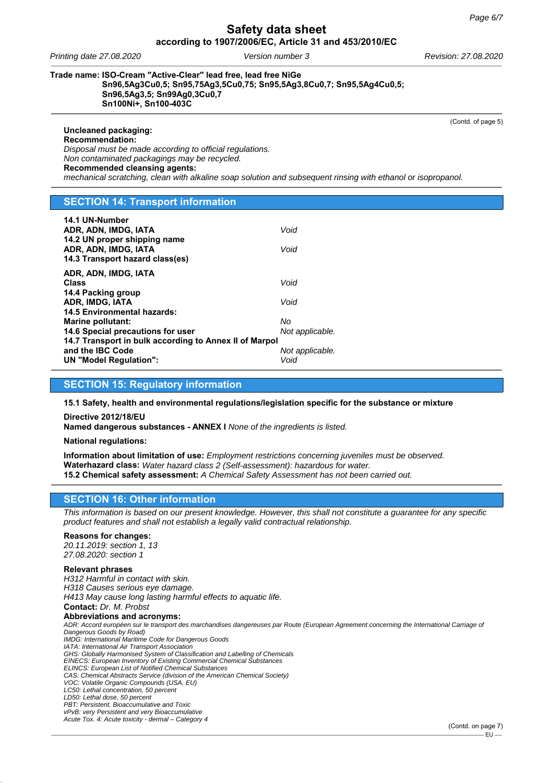*Printing date 27.08.2020 Version number 3 Revision: 27.08.2020*

**Uncleaned packaging:**

**Trade name: ISO-Cream "Active-Clear" lead free, lead free NiGe**

**Sn96,5Ag3Cu0,5; Sn95,75Ag3,5Cu0,75; Sn95,5Ag3,8Cu0,7; Sn95,5Ag4Cu0,5; Sn96,5Ag3,5; Sn99Ag0,3Cu0,7 Sn100Ni+, Sn100-403C**

(Contd. of page 5)

**Recommendation:** *Disposal must be made according to official regulations. Non contaminated packagings may be recycled.* **Recommended cleansing agents:** *mechanical scratching, clean with alkaline soap solution and subsequent rinsing with ethanol or isopropanol.*

# **SECTION 14: Transport information**

| 14.1 UN-Number<br>ADR, ADN, IMDG, IATA<br>14.2 UN proper shipping name<br>ADR, ADN, IMDG, IATA<br>14.3 Transport hazard class(es)                                                                           | Void<br>Void                                     |
|-------------------------------------------------------------------------------------------------------------------------------------------------------------------------------------------------------------|--------------------------------------------------|
| ADR, ADN, IMDG, IATA<br><b>Class</b><br>14.4 Packing group<br>ADR, IMDG, IATA                                                                                                                               | Void<br>Void                                     |
| <b>14.5 Environmental hazards:</b><br>Marine pollutant:<br>14.6 Special precautions for user<br>14.7 Transport in bulk according to Annex II of Marpol<br>and the IBC Code<br><b>UN "Model Regulation":</b> | No<br>Not applicable.<br>Not applicable.<br>Void |

## **SECTION 15: Regulatory information**

**15.1 Safety, health and environmental regulations/legislation specific for the substance or mixture**

**Directive 2012/18/EU**

**Named dangerous substances - ANNEX I** *None of the ingredients is listed.*

**National regulations:**

**Information about limitation of use:** *Employment restrictions concerning juveniles must be observed.* **Waterhazard class:** *Water hazard class 2 (Self-assessment): hazardous for water.* **15.2 Chemical safety assessment:** *A Chemical Safety Assessment has not been carried out.*

# **SECTION 16: Other information**

*This information is based on our present knowledge. However, this shall not constitute a guarantee for any specific product features and shall not establish a legally valid contractual relationship.*

### **Reasons for changes:**

*20.11.2019: section 1, 13 27.08.2020: section 1*

#### **Relevant phrases**

*H312 Harmful in contact with skin. H318 Causes serious eye damage. H413 May cause long lasting harmful effects to aquatic life.* **Contact:** *Dr. M. Probst* **Abbreviations and acronyms:** *ADR: Accord européen sur le transport des marchandises dangereuses par Route (European Agreement concerning the International Carriage of Dangerous Goods by Road) IMDG: International Maritime Code for Dangerous Goods IATA: International Air Transport Association GHS: Globally Harmonised System of Classification and Labelling of Chemicals EINECS: European Inventory of Existing Commercial Chemical Substances ELINCS: European List of Notified Chemical Substances CAS: Chemical Abstracts Service (division of the American Chemical Society) VOC: Volatile Organic Compounds (USA, EU) LC50: Lethal concentration, 50 percent LD50: Lethal dose, 50 percent PBT: Persistent, Bioaccumulative and Toxic vPvB: very Persistent and very Bioaccumulative Acute Tox. 4: Acute toxicity - dermal – Category 4*